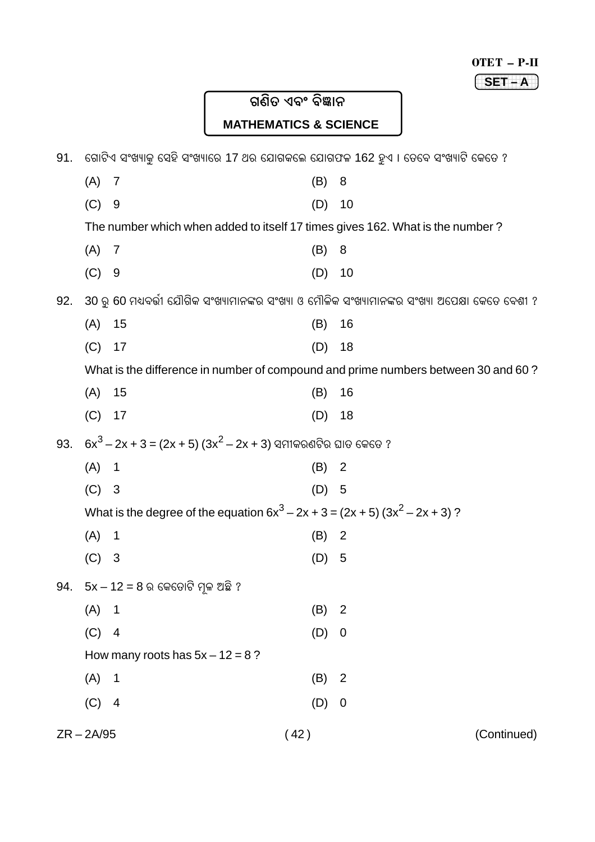$SET-A$ 

# ଗଣିତ ଏବଂ ବିଜ୍ଞାନ **MATHEMATICS & SCIENCE**

| 91. | ଗୋଟିଏ ସଂଖ୍ୟାକୁ ସେହି ସଂଖ୍ୟାରେ 17 ଥର ଯୋଗକଲେ ଯୋଗଫଳ 162 ହୁଏ । ତେବେ ସଂଖ୍ୟାଟି କେତେ ? |                                                                                 |         |                                                                                                  |
|-----|--------------------------------------------------------------------------------|---------------------------------------------------------------------------------|---------|--------------------------------------------------------------------------------------------------|
|     | (A)                                                                            | $\overline{7}$                                                                  | (B)     | 8                                                                                                |
|     | (C)                                                                            | 9                                                                               | (D)     | 10                                                                                               |
|     |                                                                                | The number which when added to itself 17 times gives 162. What is the number?   |         |                                                                                                  |
|     | (A)                                                                            | 7                                                                               | (B)     | 8                                                                                                |
|     | (C)                                                                            | 9                                                                               | (D)     | 10                                                                                               |
| 92. |                                                                                |                                                                                 |         | 30 ରୁ 60 ମଧ୍ୟବର୍ତ୍ତୀ ଯୌଗିକ ସଂଖ୍ୟାମାନଙ୍କର ସଂଖ୍ୟା ଓ ମୌଳିକ ସଂଖ୍ୟାମାନଙ୍କର ସଂଖ୍ୟା ଅପେକ୍ଷା କେତେ ବେଶୀ ? |
|     | (A)                                                                            | 15                                                                              | (B)     | 16                                                                                               |
|     | (C)                                                                            | 17                                                                              | (D)     | 18                                                                                               |
|     |                                                                                |                                                                                 |         | What is the difference in number of compound and prime numbers between 30 and 60?                |
|     | (A)                                                                            | 15                                                                              | (B)     | 16                                                                                               |
|     | (C)                                                                            | 17                                                                              | (D)     | 18                                                                                               |
| 93. |                                                                                | $6x^3 - 2x + 3 = (2x + 5) (3x^2 - 2x + 3)$ ସମୀକରଣଟିର ଘାତ କେତେ ?                 |         |                                                                                                  |
|     | (A)                                                                            | $\mathbf 1$                                                                     | (B)     | $\overline{2}$                                                                                   |
|     | (C)                                                                            | $\mathbf{3}$                                                                    | $(D)$ 5 |                                                                                                  |
|     |                                                                                | What is the degree of the equation $6x^3 - 2x + 3 = (2x + 5) (3x^2 - 2x + 3)$ ? |         |                                                                                                  |
|     | (A)                                                                            | $\overline{\mathbf{1}}$                                                         | (B)     | $\overline{2}$                                                                                   |
|     | (C)                                                                            | $\mathbf{3}$                                                                    | (D)     | 5                                                                                                |
| 94. |                                                                                | $5x - 12 = 8$ ର କେତୋଟି ମୂଳ ଅଛି ?                                                |         |                                                                                                  |
|     | (A)                                                                            | 1                                                                               | (B)     | $\overline{2}$                                                                                   |
|     | (C)                                                                            | 4                                                                               | (D)     | $\boldsymbol{0}$                                                                                 |
|     |                                                                                | How many roots has $5x - 12 = 8$ ?                                              |         |                                                                                                  |
|     | (A)                                                                            | $\mathbf{1}$                                                                    | (B)     | $\overline{2}$                                                                                   |
|     | (C)                                                                            | $\overline{4}$                                                                  | (D)     | $\boldsymbol{0}$                                                                                 |
|     | $ZR - 2A/95$                                                                   |                                                                                 | (42)    | (Continued)                                                                                      |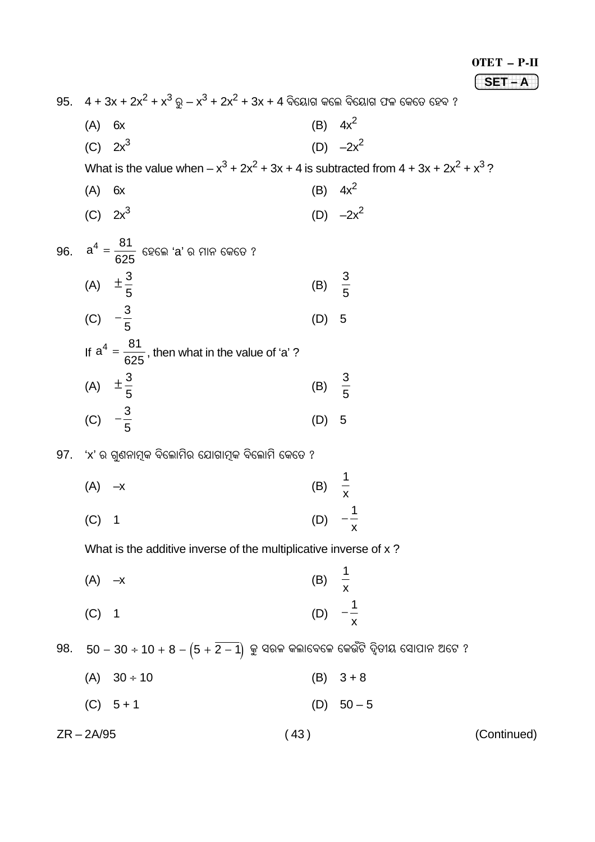#### OTET - P-II

 $SET - A$ 

95.  $4 + 3x + 2x^{2} + x^{3}$ ରୁ  $-x^{3} + 2x^{2} + 3x + 4$  ବିୟୋଗ କଲେ ବିୟୋଗ ଫଳ କେତେ ହେବ ?

(B)  $4x^2$  $(A)$  6x (D)  $-2x^2$ (C)  $2x^3$ 

What is the value when  $- x^3 + 2x^2 + 3x + 4$  is subtracted from  $4 + 3x + 2x^2 + x^3$ ?

(B)  $4x^2$  $(A)$  6x (D)  $-2x^2$ (C)  $2x^3$ 

96. 
$$
a^4 = \frac{81}{625}
$$
 696m 'a' o, 7119, 6969 ?  
\n(A)  $\pm \frac{3}{5}$  (B)  $\frac{3}{5}$   
\n(C)  $-\frac{3}{5}$  (D) 5  
\nIf  $a^4 = \frac{81}{625}$ , then what in the value of 'a' ?  
\n(A)  $\pm \frac{3}{5}$  (B)  $\frac{3}{5}$   
\n(C)  $-\frac{3}{5}$  (D) 5

97. 'x' ର ଗ୍ରଶନାମ୍ବକ ବିଲୋମିର ଯୋଗାମ୍ବକ ବିଲୋମି କେତେ ?

(A) 
$$
-x
$$
 (B)  $\frac{1}{x}$   
(C) 1 (D)  $-\frac{1}{x}$ 

What is the additive inverse of the multiplicative inverse of x?

| $(A)$ $-x$ | (B) $\frac{1}{x}$  |  |
|------------|--------------------|--|
| $(C)$ 1    | (D) $-\frac{1}{x}$ |  |

98.  $50 - 30 \div 10 + 8 - (5 + 2 - 1)$  କୁ ସରଳ କଲାବେଳେ କେଉଁଟି ଦ୍ୱିତୀୟ ସୋପାନ ଅଟେ ?

- $(A) 30 \div 10$  $(B)$  3 + 8  $(C) 5 + 1$ (D)  $50-5$
- 

(Continued)

 $ZR - 2A/95$ 

#### $(43)$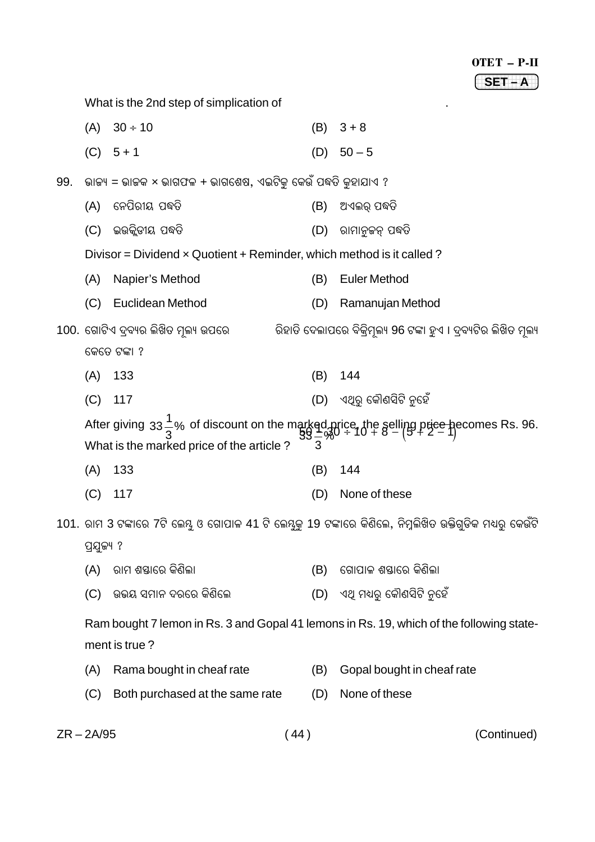.

What is the 2nd step of simplication of

|     | (A)        | $30 \div 10$                                                                 | (B) | $3 + 8$                                                                                                                                                                              |
|-----|------------|------------------------------------------------------------------------------|-----|--------------------------------------------------------------------------------------------------------------------------------------------------------------------------------------|
|     |            | $(C) 5 + 1$                                                                  | (D) | $50 - 5$                                                                                                                                                                             |
| 99. |            | ଭାଜ୍ୟ = ଭାଜକ × ଭାଗଫଳ + ଭାଗଶେଷ, ଏଇଟିକୁ କେଉଁ ପଦ୍ଧତି କୁହାଯାଏ ?                  |     |                                                                                                                                                                                      |
|     | (A)        | ନେପିରୀୟ ପଦ୍ଧତି                                                               | (B) | ଅଏଲର୍ ପଦ୍ଧତି                                                                                                                                                                         |
|     | (C)        | ଇଉକ୍ଲିଡୀୟ ପଦ୍ଧତି                                                             | (D) | ରାମାନୁଜନ୍ ପଦ୍ଧତି                                                                                                                                                                     |
|     |            | Divisor = Dividend $\times$ Quotient + Reminder, which method is it called ? |     |                                                                                                                                                                                      |
|     | (A)        | Napier's Method                                                              | (B) | <b>Euler Method</b>                                                                                                                                                                  |
|     | (C)        | Euclidean Method                                                             | (D) | Ramanujan Method                                                                                                                                                                     |
|     |            | 100. ଗୋଟିଏ ଦ୍ରବ୍ୟର ଲିଖିତ ମୂଲ୍ୟ ଉପରେ                                          |     | ିରହାତି ଦେଲାପରେ ବିକ୍ରିମୂଲ୍ୟ 96 ଟଙ୍କା ହୁଏ । ଦ୍ରବ୍ୟଟିର ଲିଖିତ ମୂଲ୍ୟ                                                                                                                      |
|     |            | କେତେ ଟଙ୍କା ?                                                                 |     |                                                                                                                                                                                      |
|     | (A)        | 133                                                                          | (B) | 144                                                                                                                                                                                  |
|     | (C)        | 117                                                                          | (D) | ଏଥିରୁ କୌଣସିଟି ନୁହେଁ                                                                                                                                                                  |
|     |            |                                                                              |     | After giving $33\frac{1}{3}$ % of discount on the marked price, the selling price becomes Rs. 96.<br>$99\frac{1}{3}$<br>What is the marked price of the article ?<br>$39\frac{1}{3}$ |
|     | (A)        | 133                                                                          | (B) | 144                                                                                                                                                                                  |
|     | (C)        | 117                                                                          | (D) | None of these                                                                                                                                                                        |
|     |            |                                                                              |     | 101. ରାମ 3 ଟଙ୍କାରେ 7ଟି ଲେୟୁ ଓ ଗୋପାଳ 41 ଟି ଲେୟୁକୁ 19 ଟଙ୍କାରେ କିଣିଲେ, ନିମ୍ନଲିଖିତ ଉକ୍ତିଗୁଡିକ ମଧ୍ୟରୁ କେଉଁଟି                                                                              |
|     | ପ୍ରଯୁଜ୍ୟ ? |                                                                              |     |                                                                                                                                                                                      |
|     | (A)        | ରାମ ଶୟାରେ କିଶିଲା                                                             | (B) | ଗୋପାଳ ଶୟାରେ କିଣିଲା                                                                                                                                                                   |
|     | (C)        | ଉଭୟ ସମାନ ଦରରେ କିଶିଲେ                                                         | (D) | ଏଥ୍ ମଧ୍ୟରୁ କୌଣସିଟି ନୁହେଁ                                                                                                                                                             |
|     |            | ment is true?                                                                |     | Ram bought 7 lemon in Rs. 3 and Gopal 41 lemons in Rs. 19, which of the following state-                                                                                             |
|     | (A)        | Rama bought in cheaf rate                                                    | (B) | Gopal bought in cheaf rate                                                                                                                                                           |
|     | (C)        | Both purchased at the same rate                                              | (D) | None of these                                                                                                                                                                        |
|     |            |                                                                              |     |                                                                                                                                                                                      |

ZR – 2A/95 ( 44 ) (Continued)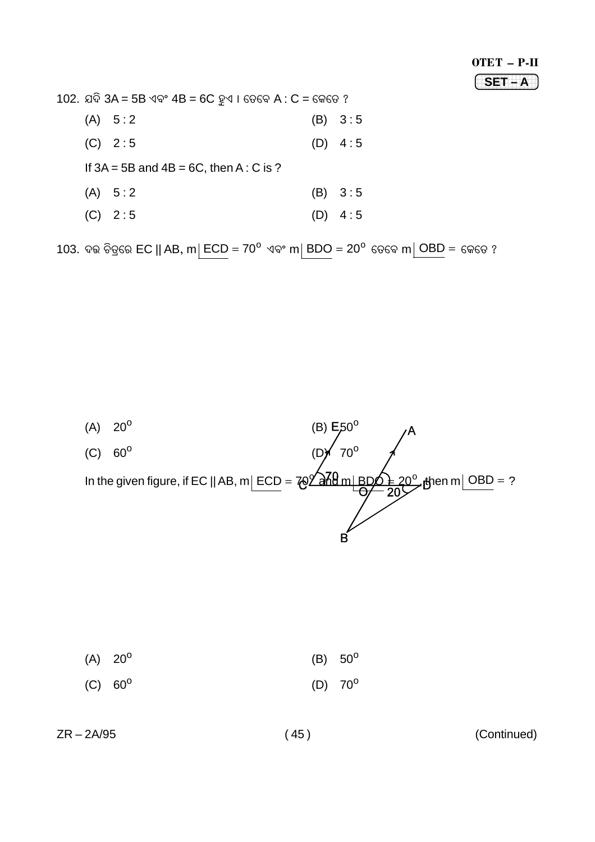$SET - A$ 

102. ଯଦି 3A = 5B ଏବଂ 4B = 6C ହୁଏ । ତେବେ A : C = କେତେ ?

| (A) 5:2                                      | (B) 3:5 |
|----------------------------------------------|---------|
| $(C)$ 2:5                                    | (D) 4:5 |
| If $3A = 5B$ and $4B = 6C$ , then A : C is ? |         |
| (A) 5:2                                      | (B) 3:5 |
| $(C)$ 2:5                                    | (D) 4:5 |

103. ଦଭ ଚିତ୍ରରେ EC || AB, m| ECD = 70 $^{\circ}$  ଏବଂ m| BDO = 20 $^{\circ}$  ତେବେ m $\boxed{\text{OBD}}$  = କେତେ ?



| $(A) 20^{\circ}$ |                  | (B) $50^{\circ}$ |
|------------------|------------------|------------------|
| $(C) 60^{\circ}$ | (D) $70^{\circ}$ |                  |

 $ZR - 2A/95$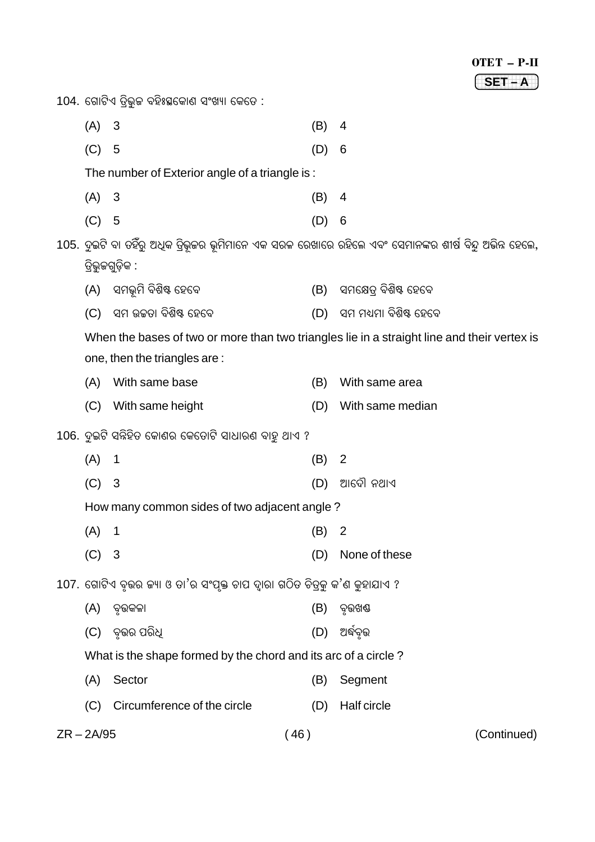# OTET – P-II 1234567890123456789 1234567890123456789 1234567890123456789 **SET – A** 104. ଗୋଟିଏ ତ୍ରିଭୁଜ ବହିଃସ୍ଥକୋଣ ସଂଖ୍ୟା କେତେ : (A) 3 (B) 4 (C) 5 (D) 6 The number of Exterior angle of a triangle is : (A) 3 (B) 4 (C) 5 (D) 6 105. ଦୁଇଟି ବା ତହିଁରୁ ଅଧିକ ତ୍ରିଭୂଜର ଭୂମିମାନେ ଏକ ସରଳ ରେଖାରେ ରହିଲେ ଏବଂ ସେମାନଙ୍କର ଶୀର୍ଷ ବିନ୍ଦୁ ଅଭିନ୍ନ ହେଲେ,  $\widehat{G}$ ଭୁଜଗୁଡ଼ିକ : (A) ସମଭୂମି ବିଶିଷ୍ଟ ହେବେ (B) ସମକ୍ଷେତ୍ର ବିଶିଷ୍ଟ ହେବେ (C) ସମ ଉଚ୍ଚତା ବିଶିଷ୍ଟ ହେବେ (D) ସମ ମଧ୍ୟମା ବିଶିଷ୍ଟ ହେବେ When the bases of two or more than two triangles lie in a straight line and their vertex is one, then the triangles are : (A) With same base (B) With same area (C) With same height (D) With same median 106. ଦୂଇଟି ସନ୍ନିହିତ କୋଣର କେତୋଟି ସାଧାରଣ ବାହୁ ଥାଏ ?  $(A)$  1 (B) 2  $(C)$  3 (D) ଆଦୌ ନଥାଏ How many common sides of two adjacent angle ?  $(A)$  1 (B) 2 (C) 3 (D) None of these 107. ଗୋଟିଏ ବ଼ଭର କ୍ୟା ଓ ତା'ର ସଂପ୍ତକ୍ତ ଚାପ ଦାରା ଗଠିତ ଚିତ୍କ କ'ଣ କହାଯାଏ ? (A) ¯õÿˆÿLÿÁÿæ (B) ¯õÿˆÿQƒ  $(C)$  ବଉର ପରିଧ $(D)$  ଅର୍ଦ୍ଧବଭ What is the shape formed by the chord and its arc of a circle ? (A) Sector (B) Segment (C) Circumference of the circle (D) Half circle

ZR – 2A/95 ( 46 ) (Continued)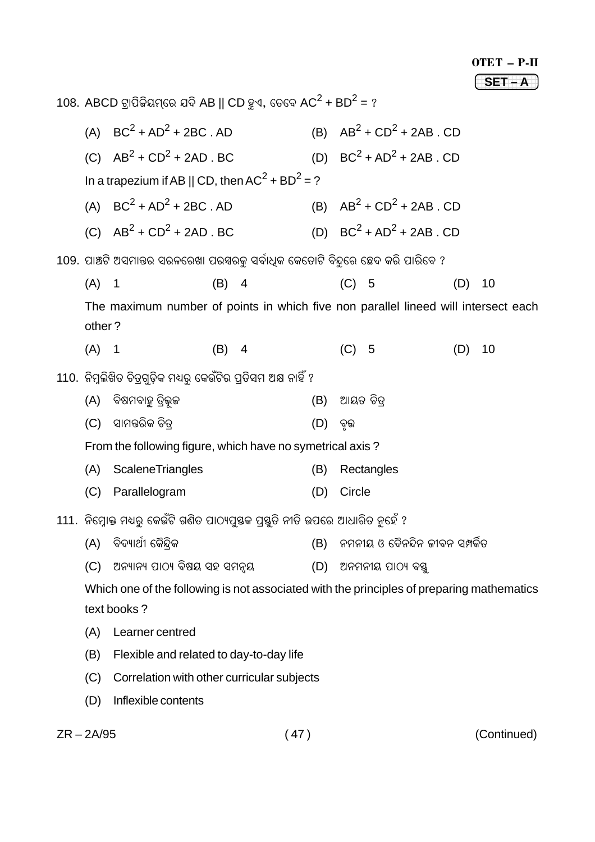$SET-A$ 

| 108. ABCD ଟ୍ରାପିକିୟମ୍ରେ ଯଦି AB    CD ହୁଏ, ତେବେ AC <sup>2</sup> + BD <sup>2</sup> = ? |                                                                                           |     |                |     |         |                                  |     |    |
|--------------------------------------------------------------------------------------|-------------------------------------------------------------------------------------------|-----|----------------|-----|---------|----------------------------------|-----|----|
|                                                                                      | (A) $BC^2 + AD^2 + 2BC$ . AD                                                              |     |                |     |         | (B) $AB^2 + CD^2 + 2AB \cdot CD$ |     |    |
|                                                                                      | (C) $AB^2 + CD^2 + 2AD \cdot BC$                                                          |     |                |     |         | (D) $BC^2 + AD^2 + 2AB$ . CD     |     |    |
|                                                                                      | In a trapezium if AB    CD, then $AC^2 + BD^2 = ?$                                        |     |                |     |         |                                  |     |    |
|                                                                                      | (A) $BC^2 + AD^2 + 2BC \cdot AD$                                                          |     |                |     |         | (B) $AB^2 + CD^2 + 2AB \cdot CD$ |     |    |
|                                                                                      | (C) $AB^2 + CD^2 + 2AD \cdot BC$                                                          |     |                |     |         | (D) $BC^2 + AD^2 + 2AB \cdot CD$ |     |    |
|                                                                                      | 109. ପାଞ୍ଚଟି ଅସମାନ୍ତର ସରଳରେଖା ପରୟରକୁ ସର୍ବାଧିକ କେତୋଟି ବିନ୍ଦୁରେ ଛେଦ କରି ପାରିବେ ?            |     |                |     |         |                                  |     |    |
| (A)                                                                                  | $\mathbf 1$                                                                               | (B) | $\overline{4}$ |     | $(C)$ 5 |                                  | (D) | 10 |
|                                                                                      | The maximum number of points in which five non parallel lineed will intersect each        |     |                |     |         |                                  |     |    |
| other?                                                                               |                                                                                           |     |                |     |         |                                  |     |    |
| (A) 1                                                                                |                                                                                           | (B) | $\overline{4}$ |     | $(C)$ 5 |                                  | (D) | 10 |
|                                                                                      | 110. ନିମ୍ନଲିଖିତ ଚିତ୍ରଗୁଡ଼ିକ ମଧ୍ୟରୁ କେଉଁଟିର ପ୍ରତିସମ ଅକ୍ଷ ନାହିଁ ?                           |     |                |     |         |                                  |     |    |
| (A)                                                                                  | ବିଷମବାହୁ ତ୍ରିଭୂଜ                                                                          |     |                | (B) |         | ଆୟତ ଚିତ୍ର                        |     |    |
| (C)                                                                                  | ସାମନ୍ତରିକ ଚିତ୍ର                                                                           |     |                | (D) | ବୃତ୍ତ   |                                  |     |    |
|                                                                                      | From the following figure, which have no symetrical axis?                                 |     |                |     |         |                                  |     |    |
| (A)                                                                                  | <b>ScaleneTriangles</b>                                                                   |     |                | (B) |         | Rectangles                       |     |    |
| (C)                                                                                  | Parallelogram                                                                             |     |                | (D) | Circle  |                                  |     |    |
|                                                                                      | 111.  ନିମ୍ନୋକ୍ତ ମଧ୍ୟରୁ କେଉଁଟି ଗଣିତ ପାଠ୍ୟପୁଷକ ପ୍ରସ୍ତୁତି ନୀତି ଉପରେ ଆଧାରିତ ନୁହେଁ ?           |     |                |     |         |                                  |     |    |
| (A)                                                                                  | ବିଦ୍ୟାର୍ଥୀ କୈନ୍ଦିକ                                                                        |     |                | (B) |         | ନମନୀୟ ଓ ଦୈନନ୍ଦିନ ଜୀବନ ସମ୍ପର୍କିତ  |     |    |
| (C)                                                                                  | ଅନ୍ୟାନ୍ୟ ପାଠ୍ୟ ବିଷୟ ସହ ସମନ୍ୱୟ                                                             |     |                | (D) |         | ଅନମନୀୟ ପାଠ୍ୟ ବସ୍ତୁ               |     |    |
|                                                                                      | Which one of the following is not associated with the principles of preparing mathematics |     |                |     |         |                                  |     |    |
|                                                                                      | text books?                                                                               |     |                |     |         |                                  |     |    |
| (A)                                                                                  | Learner centred                                                                           |     |                |     |         |                                  |     |    |
| (B)                                                                                  | Flexible and related to day-to-day life                                                   |     |                |     |         |                                  |     |    |
| (C)                                                                                  | Correlation with other curricular subjects                                                |     |                |     |         |                                  |     |    |
| (D)                                                                                  | Inflexible contents                                                                       |     |                |     |         |                                  |     |    |

 $ZR - 2A/95$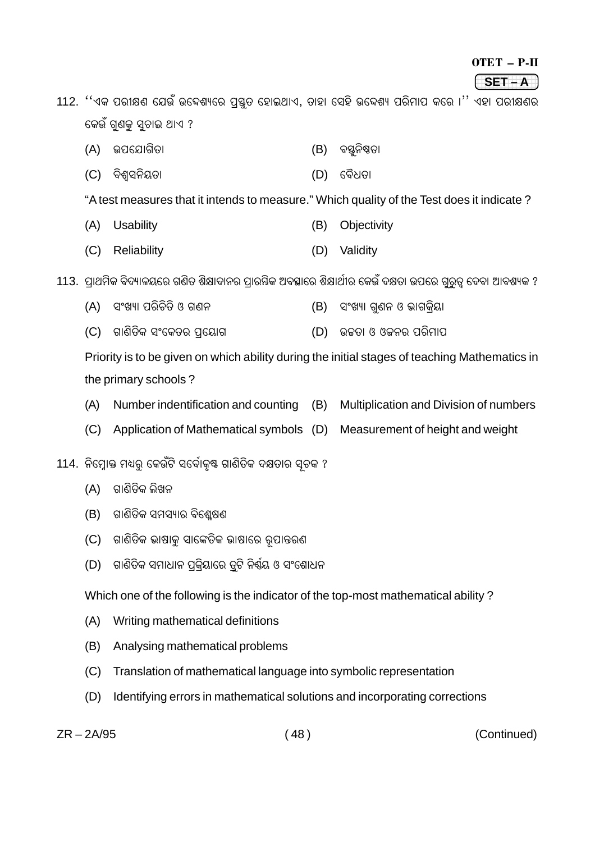#### $OTET - P-II$

(SET-A )

112. ''ଏକ ପରୀକ୍ଷଣ ଯେଉଁ ଉଦ୍ଦେଶ୍ୟରେ ପୃଷ୍ଠୁତ ହୋଇଥାଏ, ତାହା ସେହି ଉଦ୍ଦେଶ୍ୟ ପରିମାପ କରେ ।'' ଏହା ପରୀକ୍ଷଣର କେଉଁ ଗୁଣକୁ ସ୍ୱଚାଇ ଥାଏ ?

- (A) ଉପଯୋଗିତା (B) ବସ୍ତନିଷତା
- (C) ବିଶ୍ୱସନିୟତା (D) ବୈଧତା

"A test measures that it intends to measure." Which quality of the Test does it indicate?

- (A) Usability (B) Objectivity
- (C) Reliability (D) Validity

113. ପାଥମିକ ବିଦ୍ୟାଳୟରେ ଗଣିତ ଶିକ୍ଷାଦାନର ପାରୟିକ ଅବସ୍ଥାରେ ଶିକ୍ଷାର୍ଥୀର କେଉଁ ଦକ୍ଷତା ଉପରେ ଗରତ୍ର ଦେବା ଆବଶ୍ୟକ ?

- (A) ସଂଖ୍ୟା ପରିଚିତି ଓ ଗଣନ (B) ସଂଖ୍ୟା ଗ୍ଣନ ଓ ଭାଗକିୟା
- (C) ଗାଣିତିକ ସଂକେତର ପ୍ରୟୋଗ (D) ଉଚ୍ଚତା ଓ ଓକନର ପରିମାପ

Priority is to be given on which ability during the initial stages of teaching Mathematics in the primary schools?

- (A) Number indentification and counting (B) Multiplication and Division of numbers
- (C) Application of Mathematical symbols (D) Measurement of height and weight

114. ନିମ୍ନୋକ୍ତ ମଧ୍ୟରୁ କେଉଁଟି ସର୍ବୋକୃଷ୍ଟ ଗାଣିତିକ ଦକ୍ଷତାର ସ୍ୱଚକ ?

- (A) ଗାଣିତିକ ଲିଖନ
- (B) ଗାଣିତିକ ସମସ୍ୟାର ବିଶ୍ଳେଷଣ
- (C) ଗାଣିତିକ ଭାଷାକ ସାଙ୍କେତିକ ଭାଷାରେ ରୂପାନ୍ତରଣ
- (D) ଗାଣିତିକ ସମାଧାନ ପକିୟାରେ ତ୍ୱଟି ନିର୍ଣ୍ଣୟ ଓ ସଂଶୋଧନ

Which one of the following is the indicator of the top-most mathematical ability?

- (A) Writing mathematical definitions
- $(B)$ Analysing mathematical problems
- (C) Translation of mathematical language into symbolic representation
- (D) Identifying errors in mathematical solutions and incorporating corrections

 $ZR - 2A/95$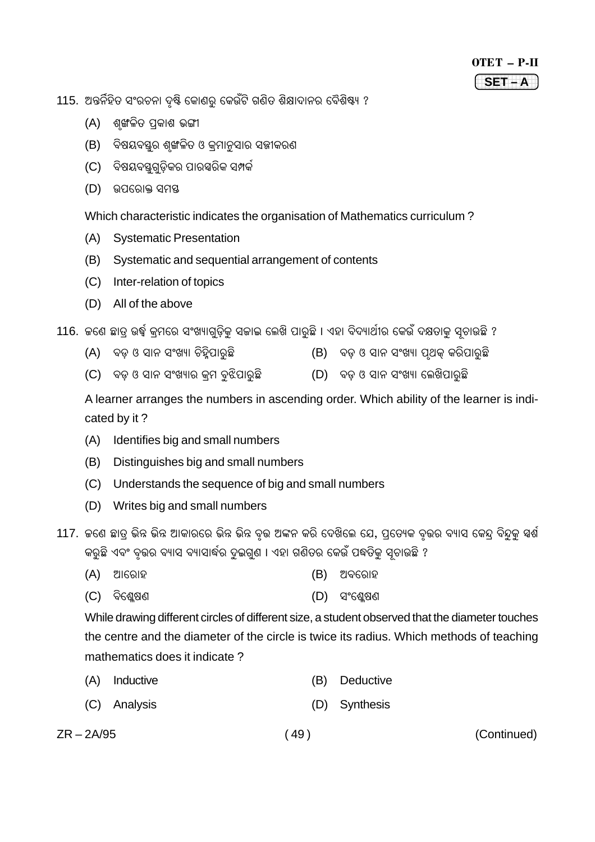115. ଅନ୍ତର୍ନିହିତ ସଂରଚନା ଦୃଷ୍ଟି କୋଣରୁ କେଉଁଟି ଗଣିତ ଶିକ୍ଷାଦାନର ବୈଶିଷ୍ୟ ?

- (A) ଶ୍ୱଙ୍ଖଳିତ ପ୍ରକାଶ ଭଙ୍ଗୀ
- (B) ବିଷୟବସ୍ତୁର ଶୃଙ୍ଖଳିତ ଓ କ୍ରମାନୁସାର ସଜ୍ଞୀକରଣ
- (C) ବିଷୟବୟଗୁଡ଼ିକର ପାରସ୍ପରିକ ସମ୍ପର୍କ
- (D) ଉପରୋକ୍ତ ସମୟ

Which characteristic indicates the organisation of Mathematics curriculum ?

- (A) Systematic Presentation
- (B) Systematic and sequential arrangement of contents
- (C) Inter-relation of topics
- (D) All of the above

116. କଣେ ଛାତ୍ ଉର୍ଦ୍ଧ୍ୱ କ୍ମରେ ସଂଖ୍ୟାଗ୍ଡ଼ିକ ସକାଇ ଲେଖି ପାର୍ଛି । ଏହା ବିଦ୍ୟାର୍ଥୀର କେଉଁ ଦକ୍ଷତାକ୍ ସ୍ତାଉଛି ?

- (A) ବଡ଼ ଓ ସାନ ସଂଖ୍ୟା ଚିହିପାର଼ିଛି (B) ବଡ଼ ଓ ସାନ ସଂଖ୍ୟା ପ୍ଥକ୍ କରିପାର଼ିଛି
- (C) ବଡ଼ ଓ ସାନ ସଂଖ୍ୟାର କ୍ରମ ବୁଝିପାରୁଛି (D) ବଡ଼ ଓ ସାନ ସଂଖ୍ୟା ଲେଖିପାରୁଛି

A learner arranges the numbers in ascending order. Which ability of the learner is indicated by it ?

- (A) Identifies big and small numbers
- (B) Distinguishes big and small numbers
- (C) Understands the sequence of big and small numbers
- (D) Writes big and small numbers
- 117. ଜଣେ ଛାତ୍ ଭିନ୍ନ ଭିନ୍ନ ଆକାରରେ ଭିନ୍ନ ଭିନ୍ନ ବ଼ଉ ଅଙ୍କନ କରି ଦେଖିଲେ ଯେ, ପ୍ରତ୍ୟେକ ବ଼ଉର ବ୍ୟାସ କେନ୍ଦ୍ ବିନ୍ଦୁକ ସ୍ପର୍ଶ କର୍ଛି ଏବଂ ବୂତ୍ତର ବ୍ୟାସ ବ୍ୟାସାର୍ଦ୍ଧର ଦୂଇଗ୍ଣ । ଏହା ଗଣିତର କେଉଁ ପଦ୍ଧତିକ ସ୍ତାଉଛି ?
	- (A) Aæ{ÀÿæÜÿ (B) A¯ÿ{ÀÿæÜÿ
	- (C) ¯ÿç{ÉÈÌ~ (D) Óó{ÉÈÌ~

While drawing different circles of different size, a student observed that the diameter touches the centre and the diameter of the circle is twice its radius. Which methods of teaching mathematics does it indicate ?

- (A) Inductive (B) Deductive
- (C) Analysis (D) Synthesis

ZR – 2A/95 ( 49 ) (Continued)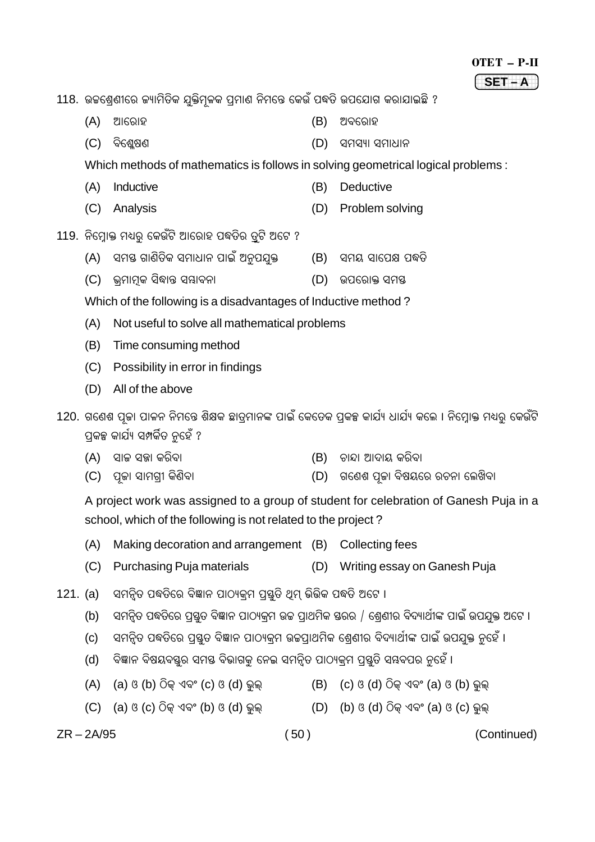# $OTET - P-II$  $SET - A$

118. ଉଚ୍ଚଶ୍ରେଣୀରେ କ୍ୟାମିତିକ ଯୁକ୍ତିମୁଳକ ପ୍ରମାଣ ନିମନ୍ତେ କେଉଁ ପଦ୍ଧତି ଉପଯୋଗ କରାଯାଇଛି ?

- $(A)$ ଆରୋହ  $(B)$  ଅବରୋହ
- (C) ବିଶ୍ୱେଷଣ (D) ସମସ୍ୟା ସମାଧାନ

Which methods of mathematics is follows in solving geometrical logical problems:

- $(A)$ Inductive  $(B)$ Deductive
- (D) Problem solving (C) Analysis
- 119. ନିମ୍ରୋକ୍ତ ମଧ୍ୟର କେଉଁଟି ଆରୋହ ପଦ୍ଧତିର ତ୍ରଟି ଅଟେ ?
	- (A) ସମୟ ଗାଣିତିକ ସମାଧାନ ପାଇଁ ଅନପଯକ୍ତ । (B) ସମୟ ସାପେକ୍ଷ ପଦ୍ଧତି
	- (C) ଭ୍ରମାମକ ସିଦ୍ଧାନ୍ତ ସୟାବନା (D) ଉପରୋକ୍ତ ସମୟ
	- Which of the following is a disadvantages of Inductive method?
	- Not useful to solve all mathematical problems  $(A)$
	- $(B)$ Time consuming method
	- (C) Possibility in error in findings
	- (D) All of the above

120. ଗଣେଶ ପ୍ରଜା ପାଳନ ନିମନ୍ତେ ଶିକ୍ଷକ ଛାତ୍ରମାନଙ୍କ ପାଇଁ କେତେକ ପ୍ରକଳ୍ପ କାର୍ଯ୍ୟ ଧାର୍ଯ୍ୟ କଲେ । ନିମ୍ରୋକ୍ତ ମଧ୍ୟର୍ କେଉଁଟି ପକଳ୍ପ କାର୍ଯ୍ୟ ସମ୍ପର୍କିତ ନହେଁ ?

- (A) ସାଳ ସଜ୍ଞା କରିବା (B) ଚାନ୍ଦା ଆଦାୟ କରିବା
- (D) ଗଣେଶ ପ୍ରଜା ବିଷୟରେ ରଚନା ଲେଖିବା (C) ପ୍ରଜା ସାମଗୀ କିଣିବା

A project work was assigned to a group of student for celebration of Ganesh Puja in a school, which of the following is not related to the project?

- Making decoration and arrangement (B) Collecting fees  $(A)$
- (C) Purchasing Puja materials (D) Writing essay on Ganesh Puja
- 121. (a) ସମନ୍ତିତ ପଦ୍ଧତିରେ ବିଜ୍ଞାନ ପାଠ୍ୟକ୍ମ ପ୍ରସ୍ତି ଥିମ୍ ଭିଭିକ ପଦ୍ଧତି ଅଟେ ।
	- ସମନ୍ୱିତ ପଦ୍ଧତିରେ ପୃଷ୍ଠତ ବିଜ୍ଞାନ ପାଠ୍ୟକ୍ମ ଉଚ୍ଚ ପ୍ରାଥମିକ ସ୍ତରର / ଶ୍ୱେଣୀର ବିଦ୍ୟାର୍ଥୀଙ୍କ ପାଇଁ ଉପଯୁକ୍ତ ଅଟେ ।  $(b)$
	- ସମନ୍ତିତ ପଦ୍ଧତିରେ ପ୍ରୟତ ବିଜ୍ଞାନ ପାଠ୍ୟକ୍ମ ଉଚ୍ଚପାଥମିକ ଶେଣୀର ବିଦ୍ୟାର୍ଥୀଙ୍କ ପାଇଁ ଉପଯକ୍ତ ନହେଁ ।  $(c)$
	- ବିଜ୍ଞାନ ବିଷୟବୟର ସମୟ ବିଭାଗକ ନେଇ ସମନ୍ତିତ ପାଠ୍ୟକ୍ମ ପ୍ରୟୁତି ସ୍ୱବପର ନହେଁ ।  $(d)$
	- (a) ଓ (b) ଠିକ ଏବଂ (c) ଓ (d) ଭଲ  $(B)$  (c)  $(3)(d)$  ଠିକ ଏବଂ (a)  $(3)(b)$  ଭଲ  $(A)$
	- (C) (a) ଓ (c) ଠିକ୍ ଏବଂ (b) ଓ (d) ଭୁଲ୍  $(D)$  (b) ଓ (d) ଠିକ୍ ଏବଂ (a) ଓ (c) ଭୁଲ୍

 $ZR - 2A/95$ 

 $(50)$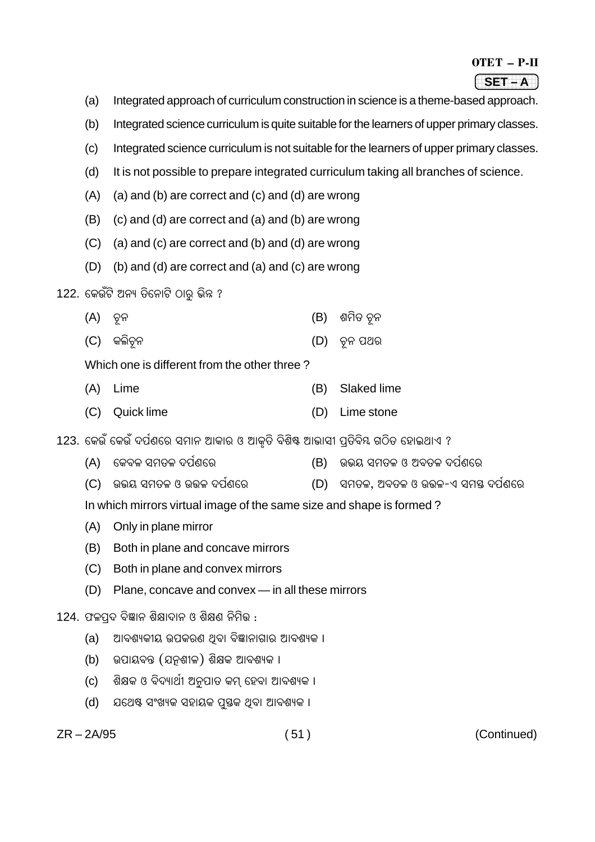| OTET | P-II |  |
|------|------|--|
|      |      |  |

1234567890123456789 1234567890123456789 1234567890123456789 **SET – A**

- (a) Integrated approach of curriculum construction in science is a theme-based approach.
- (b) Integrated science curriculum is quite suitable for the learners of upper primary classes.
- (c) Integrated science curriculum is not suitable for the learners of upper primary classes.
- (d) It is not possible to prepare integrated curriculum taking all branches of science.
- (A) (a) and (b) are correct and (c) and (d) are wrong
- (B) (c) and (d) are correct and (a) and (b) are wrong
- (C) (a) and (c) are correct and (b) and (d) are wrong
- (D) (b) and (d) are correct and (a) and (c) are wrong
- 122. କେଉଁଟି ଅନ୍ୟ ତିନୋଟି ଠାର ଭିନ୍ନ ?
	- (A) `íÿœÿ (B) Éþç†ÿ `íÿœÿ
	- (C) କଲିଚନ (D) ଚନ ପଥର

Which one is different from the other three ?

- (A) Lime (B) Slaked lime
- (C) Quick lime (D) Lime stone
- 123. କେଉଁ କେଉଁ ଦର୍ପଣରେ ସମାନ ଆକାର ଓ ଆକୃତି ବିଶିଷ୍ଟ ଆଭାସୀ ପ୍ରତିବିୟ ଗଠିତ ହୋଇଥାଏ ?
	- (A) କେବଳ ସମତଳ ଦର୍ପଣରେ (B) ଉଭୟ ସମତଳ ଓ ଅବତଳ ଦର୍ପଣରେ
	- (C) ଉଭୟ ସମତଳ ଓ ଉତ୍ତଳ ଦର୍ପଣରେ (D) ସମତଳ, ଅବତଳ ଓ ଉତ୍ତଳ-ଏ ସମୟ ଦର୍ପଣରେ

In which mirrors virtual image of the same size and shape is formed ?

- (A) Only in plane mirror
- (B) Both in plane and concave mirrors
- (C) Both in plane and convex mirrors
- (D) Plane, concave and convex in all these mirrors

### 124. ଫଳପୁଦ ବିଜ୍ଞାନ ଶିକ୍ଷାଦାନ ଓ ଶିକ୍ଷଣ ନିମିଭ :

- (a) ଆବଶ୍ୟକୀୟ ଉପକରଣ ଥିବା ବିଜ୍ଞାନାଗାର ଆବଶ୍ୟକ ।
- (b) ଉପାୟବନ୍ତ (ଯନୁଶୀଳ) ଶିକ୍ଷକ ଆବଶ୍ୟକ ।
- (c) ଶିକ୍ଷକ ଓ ବିଦ୍ୟାର୍ଥୀ ଅନୁପାତ କମ୍ ହେବା ଆବଶ୍ୟକ ।
- (d) ଯଥେଷ୍ଟ ସଂଖ୍ୟକ ସହାୟକ ପ୍ରସ୍ତକ ଥିବା ଆବଶ୍ୟକ ।

ZR – 2A/95 ( 51 ) (Continued)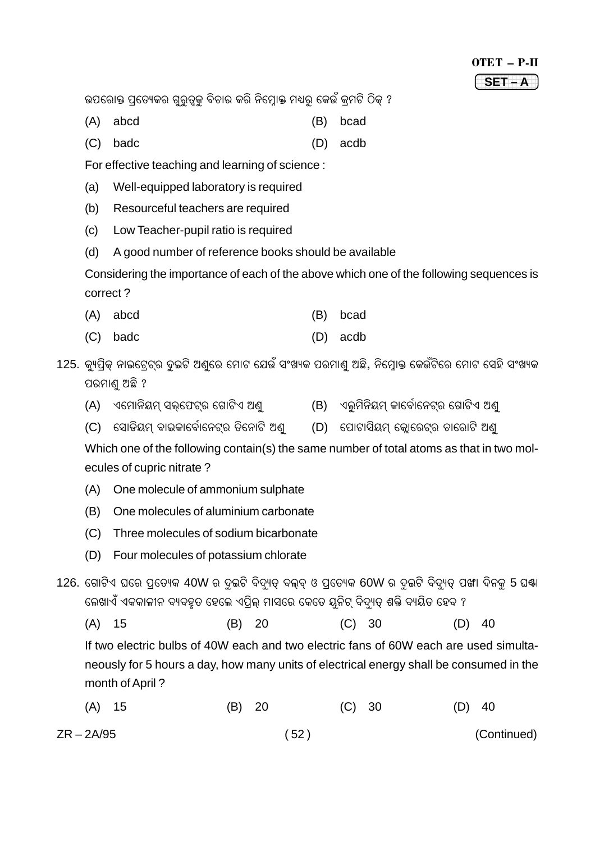#### OTET – P-II 1234567890123456789 1234567890123456789 1234567890123456789 **SET – A**

ଉପରୋକ୍ତ ପ୍ରତ୍ୟେକର ଗ୍ରତ୍ନକ୍ ବିଚାର କରି ନିମ୍ବୋକ୍ତ ମଧ୍ୟର୍ କେଉଁ କ୍**ମଟି ଠିକ୍** ?

- (A) abcd (B) bcad
- (C) badc (D) acdb

For effective teaching and learning of science :

- (a) Well-equipped laboratory is required
- (b) Resourceful teachers are required
- (c) Low Teacher-pupil ratio is required
- (d) A good number of reference books should be available

Considering the importance of each of the above which one of the following sequences is correct ?

- (A) abcd (B) bcad
- (C) badc (D) acdb

125. କ୍ୟପିକ୍ ନାଇଟ୍ରେଟ୍ର ଦୂଇଟି ଅଣ୍ରେ ମୋଟ ଯେଉଁ ସଂଖ୍ୟକ ପରମାଣ୍ ଅଛି, ନିମ୍ବୋକ୍ତ କେଉଁଟିରେ ମୋଟ ସେହି ସଂଖ୍ୟକ ପରମାଣ୍ଡ ଅଛି ?

- (A) ଏମୋନିୟମ୍ ସଲ୍ଫେଟ୍ର ଗୋଟିଏ ଅଣ୍ଟ୍ (B) ଏଲ୍ମିନିୟମ୍ କାର୍ବୋନେଟ୍ର ଗୋଟିଏ ଅଣ୍
- (C) ସୋଡିୟମ୍ ବାଇକାର୍ବୋନେଟ୍ର ଡିନୋଟି ଅଣ୍ଟ୍ (D) ପୋଟାସିୟମ୍ କ୍ଟୋରେଟ୍ର ଚାରୋଟି ଅଣ୍

Which one of the following contain(s) the same number of total atoms as that in two molecules of cupric nitrate ?

- (A) One molecule of ammonium sulphate
- (B) One molecules of aluminium carbonate
- (C) Three molecules of sodium bicarbonate
- (D) Four molecules of potassium chlorate
- 126. ଗୋଟିଏ ଘରେ ପ୍ରତ୍ୟେକ 40W ର ଦୂଇଟି ବିଦ୍ୟୁତ୍ ବଲ୍ବ୍ ଓ ପ୍ରତ୍ୟେକ 60W ର ଦୂଇଟି ବିଦ୍ୟୁତ୍ ପଙ୍ଖା ଦିନକୁ 5 ଘଷ୍ଟା କେଖାଏଁ ଏକକାଳୀନ ବ୍ୟବହୂତ ହେଲେ ଏପ୍ରିଲ୍ ମାସରେ କେତେ ୟୁନିଟ୍ ବିଦ୍ୟତ୍ ଶକ୍ତି ବ୍ୟୟିତ ହେବ ?

(A) 15 (B) 20 (C) 30 (D) 40

If two electric bulbs of 40W each and two electric fans of 60W each are used simultaneously for 5 hours a day, how many units of electrical energy shall be consumed in the month of April ?

| $(A)$ 15     | (B) 20 | (C) 30 | $(D)$ 40    |
|--------------|--------|--------|-------------|
| $ZR - 2A/95$ | (52)   |        | (Continued) |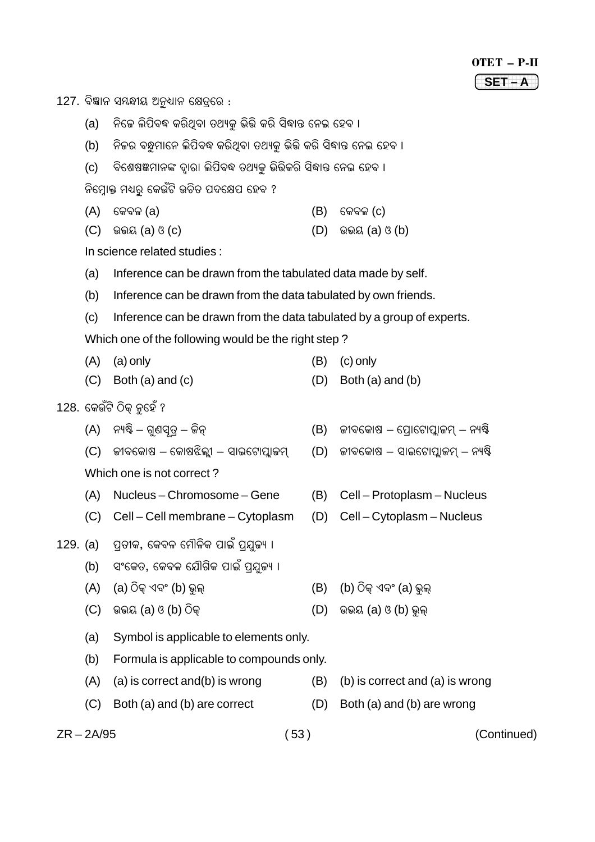127. ବିଜ୍ଞାନ ସୟନ୍ଧୀୟ ଅନୁଧ୍ୟାନ କ୍ଷେତ୍ରରେ :

- (a) ନିଜେ ଲିପିବଦ୍ଧ କରିଥିବା ତଥ୍ୟକୁ ଭିଭି କରି ସିଦ୍ଧାନ୍ତ ନେଇ ହେବ ।
- (b) ନିଜର ବନ୍ଧୁମାନେ ଲିପିବଦ୍ଧ କରିଥିବା ତଥ୍ୟକ ଭିତ୍ତି କରି ସିଦ୍ଧାନ୍ତ ନେଇ ହେବ ।
- (c) ବିଶେଷଜ୍ଞମାନଙ୍କ ଦୃାରା ଲିପିବଦ୍ଧ ତଥ୍ୟକୁ ଭିତ୍ତିକରି ସିଦ୍ଧାନ୍ତ ନେଇ ହେବ ।

ନିମ୍ନୋକ୍ତ ମଧ୍ୟରୁ କେଉଁଟି ଉଚିତ ପଦକ୍ଷେପ ହେବ ?

- $(A)$  କେବଳ $(a)$  (A)  $\left( B\right)$  କେବଳ $(C)$
- $(C)$  ଉଭୟ (a) ଓ  $(C)$  (D) ଉଭୟ (a) ଓ (b)

In science related studies :

- (a) Inference can be drawn from the tabulated data made by self.
- (b) Inference can be drawn from the data tabulated by own friends.
- (c) Inference can be drawn from the data tabulated by a group of experts. Which one of the following would be the right step ?
- (A) (a) only (B) (c) only
- $(C)$  Both (a) and  $(C)$  (D) Both (a) and (b)
- 

- 128. କେଉଁଟି ଠିକ୍ ନୁହେଁ ?
	- $(A)$  ନ୍ୟଷ୍ଟି ଗୁଣସ୍ୱତ୍ୱ ଜିନ୍ $(5)$  ଲୀବକୋଷ ପ୍ରୋଟୋପ୍ଲାଜମ୍ ନ୍ୟଷ୍ଟି
	- $(C)$  ଜୀବକୋଷ କୋଷଝିଲ୍ଲୀ ସାଇଟୋପ୍ଲାଜମ୍ (D) ଜୀବକୋଷ ସାଇଟୋପ୍ଲାଜମ୍ ନ୍ୟଷ୍ଟି

Which one is not correct ?

- (A) Nucleus Chromosome Gene (B) Cell Protoplasm Nucleus
- (C) Cell Cell membrane Cytoplasm (D) Cell Cytoplasm Nucleus
- 129. (a) ପ୍ରତୀକ, କେବଳ ମୌଳିକ ପାଇଁ ପ୍ରଯୁଜ୍ୟ ।
	- (b) ସଂକେତ, କେବଳ ଯୌଗିକ ପାଇଁ ପ୍ରଯ୍ତକ୍ୟ ।
	- $(A)$  (a) ଠିକ୍ ଏବଂ (b) ଭଲ୍ $(B)$  (b) ଠିକ୍ ଏବଂ (a) ଭଲ୍
	- (C) Dµÿß (a) H (b) vÿçLúÿ (D) Dµÿß (a) H (b) µëÿàúÿ
	- (a) Symbol is applicable to elements only.
	- (b) Formula is applicable to compounds only.
	- $(A)$  (a) is correct and  $(b)$  is wrong  $(B)$  (b) is correct and  $(a)$  is wrong
	- (C) Both (a) and (b) are correct (D) Both (a) and (b) are wrong
- 

ZR – 2A/95 ( 53 ) (Continued)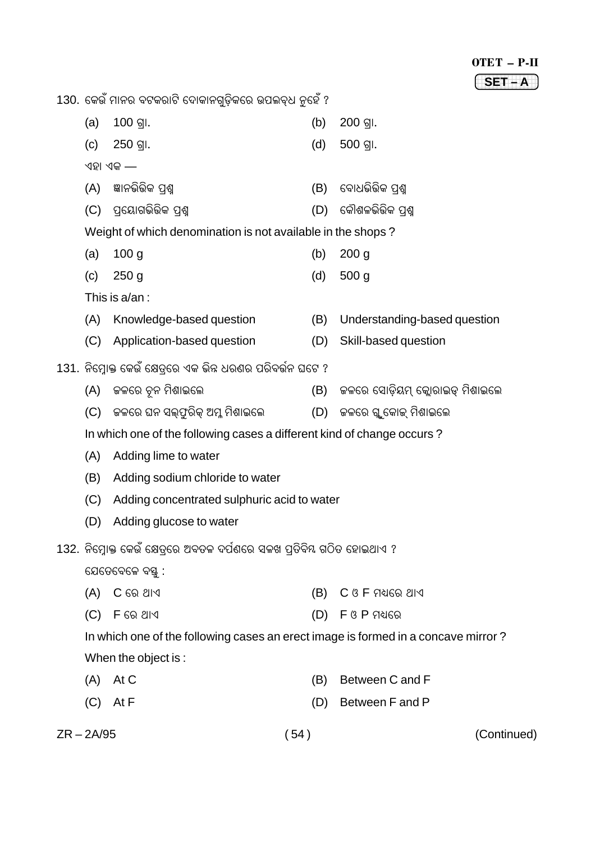| $\mathbf{H}^{\prime}$ $\mathbf{T}$<br>$\mathbf{O}^{\prime}$ |  |
|-------------------------------------------------------------|--|
|                                                             |  |

1234567890123456789 1234567890123456789 **SET – A**

130. କେଉଁ ମାନର ବଟକରାଟି ଦୋକାନଗୁଡ଼ିକରେ ଉପଲବ୍ଧ ନୁହେଁ ?

| (a)      | 100 의.                                                                            | (b) | $200$ ଗା.                         |  |  |  |
|----------|-----------------------------------------------------------------------------------|-----|-----------------------------------|--|--|--|
| (c)      | 250 의.                                                                            | (d) | 500 gl.                           |  |  |  |
| ଏହା ଏକ — |                                                                                   |     |                                   |  |  |  |
| (A)      | ଜ୍ଞାନଭିଭିକ ପ୍ରଶ୍ମ                                                                 | (B) | ବୋଧଭିଭିକ ପ୍ରଶ୍ମ                   |  |  |  |
| (C)      | ପ୍ରୟୋଗଭିଭିକ ପଶ୍ମ                                                                  | (D) | କୌଶଳଭିଭିକ ପ୍ରଶ୍ମ                  |  |  |  |
|          | Weight of which denomination is not available in the shops?                       |     |                                   |  |  |  |
| (a)      | 100 <sub>g</sub>                                                                  | (b) | 200 <sub>g</sub>                  |  |  |  |
| (c)      | $250$ g                                                                           | (d) | 500 <sub>g</sub>                  |  |  |  |
|          | This is a/an :                                                                    |     |                                   |  |  |  |
| (A)      | Knowledge-based question                                                          | (B) | Understanding-based question      |  |  |  |
| (C)      | Application-based question                                                        | (D) | Skill-based question              |  |  |  |
|          | 131. ନିମ୍ରୋକ୍ତ କେଉଁ କ୍ଷେତ୍ରରେ ଏକ ଭିନ୍ନ ଧରଣର ପରିବର୍ଭନ ଘଟେ ?                        |     |                                   |  |  |  |
| (A)      | କଳରେ ଚୂନ ମିଶାଇଲେ                                                                  | (B) | ଚ୍ଚଳରେ ସୋଡ଼ିୟମ୍ କ୍ଲୋରାଇଡ୍ ମିଶାଇଲେ |  |  |  |
| (C)      | କଳରେ ଘନ ସଲ୍ଫୁରିକ୍ ଅମ୍ଳ ମିଶାଇଲେ                                                    | (D) | ଜଳରେ ଗୁ କୋଇ୍ ମିଶାଇଲେ              |  |  |  |
|          | In which one of the following cases a different kind of change occurs?            |     |                                   |  |  |  |
| (A)      | Adding lime to water                                                              |     |                                   |  |  |  |
| (B)      | Adding sodium chloride to water                                                   |     |                                   |  |  |  |
| (C)      | Adding concentrated sulphuric acid to water                                       |     |                                   |  |  |  |
| (D)      | Adding glucose to water                                                           |     |                                   |  |  |  |
|          | 132. ନିମ୍ନୋକ୍ତ କେଉଁ କ୍ଷେତ୍ରରେ ଅବତଳ ଦର୍ପଣରେ ସଳଖ ପ୍ରତିବିୟ ଗଠିତ ହୋଇଥାଏ ?             |     |                                   |  |  |  |
|          | ଯେତେବେଳେ ବସ୍ତୁ :                                                                  |     |                                   |  |  |  |
| (A)      | $C$ ରେ ଥାଏ                                                                        | (B) | $C$ ଓ $F$ ମଧ୍ୟରେ ଥାଏ              |  |  |  |
| (C)      | F ରେ ଥାଏ                                                                          | (D) | $F$ ଓ P ମଧ୍ୟରେ                    |  |  |  |
|          | In which one of the following cases an erect image is formed in a concave mirror? |     |                                   |  |  |  |
|          | When the object is:                                                               |     |                                   |  |  |  |
| (A)      | At C                                                                              | (B) | Between C and F                   |  |  |  |
| (C)      | At F                                                                              | (D) | Between F and P                   |  |  |  |

ZR – 2A/95 ( 54 ) (Continued)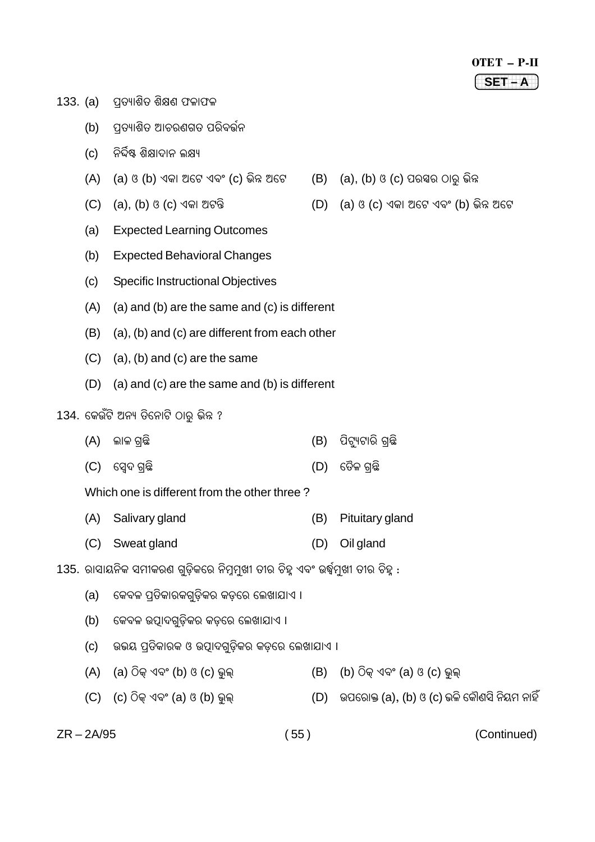#### OTET – P-II 1234567890123456789 1234567890123456789 1234567890123456789 **SET – A**

- $133.$  (a) ପ୍ରତ୍ୟାଶିତ ଶିକ୍ଷଣ ଫଳାଫଳ
	- (b) ପତ୍ୟାଶିତ ଆଚରଣଗତ ପରିବର୍ତ୍ତନ
	- (c) ନିର୍ଦ୍ଦିଷ୍ଟ ଶିକ୍ଷାଦାନ ଲକ୍ଷ୍ୟ
	- (A) (a) ଓ (b) ଏକା ଅଟେ ଏବଂ (c) ଭିନ୍ନ ଅଟେ  $\qquad$  (B)  $\qquad$  (a), (b) ଓ (c) ପରସ୍ପର ଠାର୍ ଭିନ୍ନ
	- $(C)$  (a), (b) ଓ (c) ଏକା ଅଟନ୍ତି (D) (a) ଓ (c) ଏକା ଅଟେ ଏବଂ (b) ଭିନ୍ନ ଅଟେ
	- (a) Expected Learning Outcomes
	- (b) Expected Behavioral Changes
	- (c) Specific Instructional Objectives
	- (A) (a) and (b) are the same and (c) is different
	- (B) (a), (b) and (c) are different from each other
	- $(C)$  (a), (b) and (c) are the same
	- (D) (a) and (c) are the same and (b) is different

#### 134. କେଉଁଟି ଅନ୍ୟ ତିନୋଟି ଠାର୍ ଭିନ୍ନ ?

- (A) àÿæÁÿ S÷¡ÿç (B) ¨çsë¿sæÀÿç S÷¡ÿç
- (C) {Ó´'ÿ S÷¡ÿç (D) {†ÿðÁÿ S÷¡ÿç

#### Which one is different from the other three ?

- (A) Salivary gland (B) Pituitary gland
- (C) Sweat gland (D) Oil gland
- 135. ରାସାୟନିକ ସମୀକରଣ ଗୁଡ଼ିକରେ ନିମୁମୁଖୀ ତୀର ଚିହୁ ଏବଂ ଉର୍ଦ୍ଧମୁଖୀ ତୀର ଚିହୁ :
	- (a) କେବଳ ପ୍ରତିକାରକଗୁଡ଼ିକର କଡ଼ରେ ଲେଖାଯାଏ ।
	- (b) କେବଳ ଉତ୍ପାଦଗଡ଼ିକର କଡ଼ରେ ଲେଖାଯାଏ ।
	- (c) ଉଭୟ ପ୍ରତିକାରକ ଓ ଉତ୍ପାଦଗ୍ରଡ଼ିକର କଡ଼ରେ ଲେଖାଯାଏ ।
	- $(A)$  (a) ଠିକ୍ ଏବଂ (b) ଓ (c) ଭୁଲ୍ $(B)$  (b) ଠିକ୍ ଏବଂ (a) ଓ (c) ଭୁଲ୍
	- $(C)$   $(C)$  ଠିକ୍ ଏବଂ (a) ଓ (b) ଭୁଲ୍ $(D)$  ଉପରୋକ୍ତ (a), (b) ଓ (c) ଭଳି କୌଣସି ନିୟମ ନାହିଁ

ZR – 2A/95 ( 55 ) (Continued)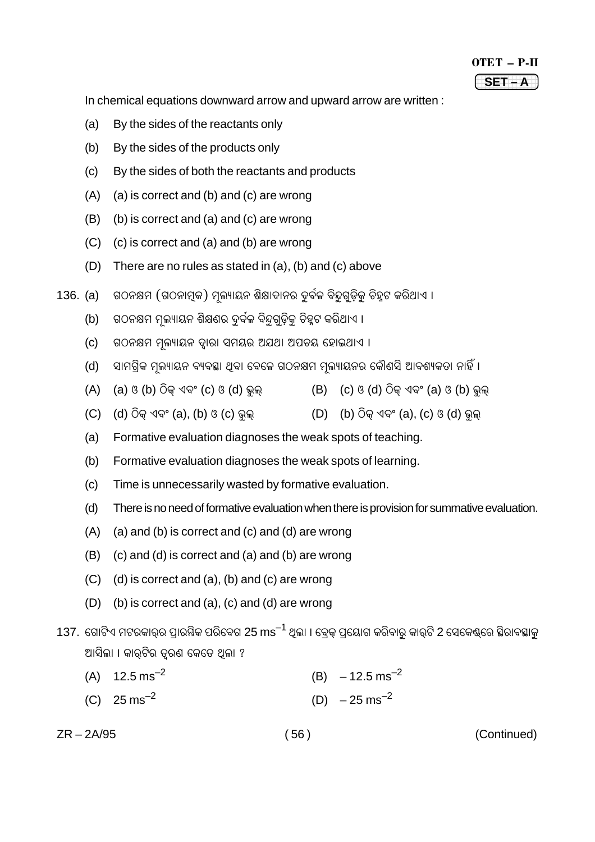| OTET<br>'' |  |
|------------|--|
|            |  |

In chemical equations downward arrow and upward arrow are written :

- (a) By the sides of the reactants only
- (b) By the sides of the products only
- (c) By the sides of both the reactants and products
- (A) (a) is correct and (b) and (c) are wrong
- (B) (b) is correct and (a) and (c) are wrong
- (C) (c) is correct and (a) and (b) are wrong
- (D) There are no rules as stated in (a), (b) and (c) above
- 136. (a) ଗଠନକ୍ଷମ (ଗଠନାମକ) ମଲ୍ୟାୟନ ଶିକ୍ଷାଦାନର ଦୂର୍ବଳ ବିନ୍ଦୁଗଡିକ୍ ଚିହୁଟ କରିଥାଏ ।
	- (b) ଗଠନକ୍ଷମ ମୁଲ୍ୟାୟନ ଶିକ୍ଷଣର ଦୂର୍ବଳ ବିନ୍ଦଗୁଡ଼ିକ ଚିହୁଟ କରିଥାଏ ।
	- (c) ଗଠନକ୍ଷମ ମଲ୍ୟାୟନ ଦ୍ୱାରା ସମୟର ଅଯଥା ଅପଚୟ ହୋଇଥାଏ ।
	- (d) ସାମଗିକ ମଲ୍ୟାୟନ ବ୍ୟବସ୍ଥା ଥବା ବେଳେ ଗଠନକ୍ଷମ ମଲ୍ୟାୟନର କୌଣସି ଆବଶ୍ୟକତା ନାହିଁ ।
	- $(A)$  (a)  $(3 \t{b})$   $\widehat{O}$ କ ଏବଂ (c)  $(3 \t{d})$  ଭୁଲ $(B)$  (c)  $(3 \t{d})$   $\widehat{O}$ କ ଏବଂ (a)  $(3 \t{b})$  ଭୁଲ
	- $(C)$  (d)  $\widehat{O}$ କ୍ ଏବଂ (a), (b) ଓ (c) ଭଲ $(D)$  (b)  $\widehat{O}$ କ୍ ଏବଂ (a), (c) ଓ (d) ଭଲ୍
	- (a) Formative evaluation diagnoses the weak spots of teaching.
	- (b) Formative evaluation diagnoses the weak spots of learning.
	- (c) Time is unnecessarily wasted by formative evaluation.
	- (d) There is no need of formative evaluation when there is provision for summative evaluation.
	- $(A)$  (a) and (b) is correct and (c) and (d) are wrong
	- (B) (c) and (d) is correct and (a) and (b) are wrong
	- (C) (d) is correct and (a), (b) and (c) are wrong
	- (D) (b) is correct and (a), (c) and (d) are wrong
- 137. ଗୋଟିଏ ମଟରକାର୍ର ପାରୟିକ ପରିବେଗ 25 ms<sup>–1</sup> ଥିଲା । ବ୍ରେକ୍ ପ୍ରୟୋଗ କରିବାରୁ କାର୍ଟି 2 ସେକେଣ୍ଠରେ ସ୍ଥିରାବସ୍ଥାକୁ ଆସିଲା । କାରଟିର ତରଣ କେତେ ଥିଲା ?
	- (A)  $12.5 \text{ ms}^{-2}$  (B)  $-12.5 \text{ ms}^{-2}$ (C)  $25 \text{ ms}^{-2}$  (D)  $-25 \text{ ms}^{-2}$

ZR – 2A/95 ( 56 ) (Continued)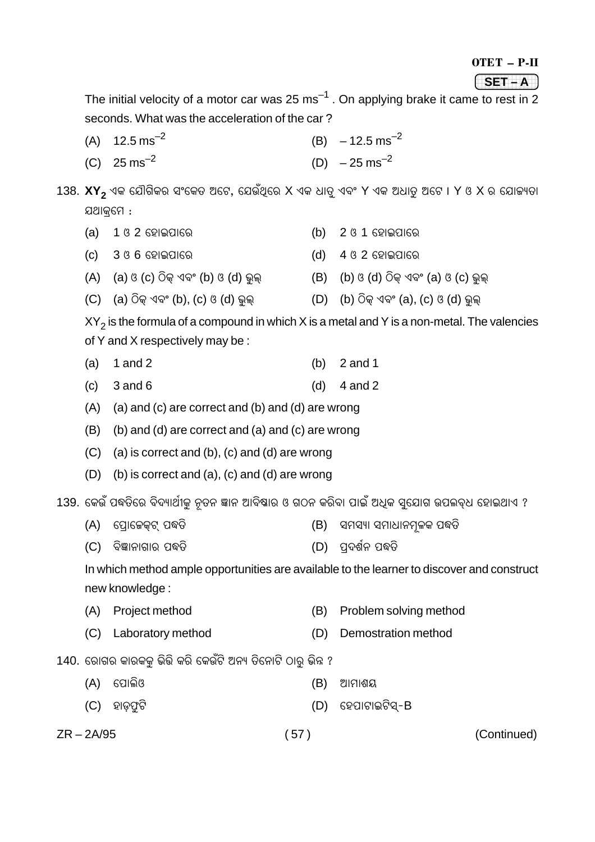OTET – P-II

#### 1234567890123456789 1234567890123456789 1234567890123456789 **SET – A**

The initial velocity of a motor car was 25 ms $^{-1}$  . On applying brake it came to rest in 2 seconds. What was the acceleration of the car ?

- (A)  $12.5 \text{ ms}^{-2}$  (B)  $-12.5 \text{ ms}^{-2}$
- (C)  $25 \text{ ms}^{-2}$  (D)  $-25 \text{ ms}^{-2}$

138. **XY<sub>2</sub> ଏକ ଯୌଗିକର ସଂକେତ ଅଟେ, ଯେଉଁଥିରେ X ଏକ ଧାତୁ ଏବଂ Y ଏକ ଅଧାତୁ ଅଟେ । Y ଓ X ର ଯୋଜ୍ୟତା** ଯଥାକ୍ୱମେ :

- (a)  $1$  ଓ 2 ହୋଇପାରେ (b) 2 ଓ 1 ହୋଇପାରେ
- (c) 3 H 6 {ÜÿæB¨æ{Àÿ (d) 4 H 2 {ÜÿæB¨æ{Àÿ
- $(A)$  (a)  $(3 \cdot C)$   $\widehat{O}$ କ୍ ଏବଂ (b)  $(3 \cdot d)$  ଭୁଲ୍ $(B)$  (b)  $(3 \cdot d)$   $\widehat{O}$ କ୍ ଏବଂ (a)  $(3 \cdot C)$  ଭୁଲ୍
- $(C)$  (a) ଠିକ୍ ଏବଂ (b), (c) ଓ (d) ଭୁଲ୍ $(D)$  (b) ଠିକ୍ ଏବଂ (a), (c) ଓ (d) ଭୁଲ୍

XY $_{\rm 2}$  is the formula of a compound in which X is a metal and Y is a non-metal. The valencies of Y and X respectively may be :

- (a) 1 and 2 (b) 2 and 1
- (c)  $3 \text{ and } 6$  (d)  $4 \text{ and } 2$
- (A) (a) and (c) are correct and (b) and (d) are wrong
- (B) (b) and (d) are correct and (a) and (c) are wrong
- (C) (a) is correct and (b), (c) and (d) are wrong
- (D) (b) is correct and (a), (c) and (d) are wrong

139. କେଉଁ ପଦ୍ଧତିରେ ବିଦ୍ୟାର୍ଥୀକୁ ନୂତନ ଜ୍ଞାନ ଆବିଷାର ଓ ଗଠନ କରିବା ପାଇଁ ଅଧିକ ସୁଯୋଗ ଉପଲବ୍ଧ ହୋଇଥାଏ ?

- (A) ପୋକେକ୍ଟ୍ ପଦ୍ଧତି (B) ସମସ୍ୟା ସମାଧାନମୂଳକ ପଦ୍ଧତି
- (C) ବିଜ୍ଞାନାଗାର ପଦ୍ଧତି (D) ପଦର୍ଶନ ପଦ୍ଧତି

In which method ample opportunities are available to the learner to discover and construct new knowledge :

- (A) Project method (B) Problem solving method
- (C) Laboratory method (D) Demostration method

140. ରୋଗର କାରକକ ଭିଭି କରି କେଉଁଟି ଅନ୍ୟ ତିନୋଟି ଠାର୍ ଭିନ୍ନ ?

- (A) {¨æàÿçH (B) AæþæÉß
- (C) ହାଡଫଟି (D) ହେପାଟାଇଟିସ୍-B

ZR – 2A/95 ( 57 ) (Continued)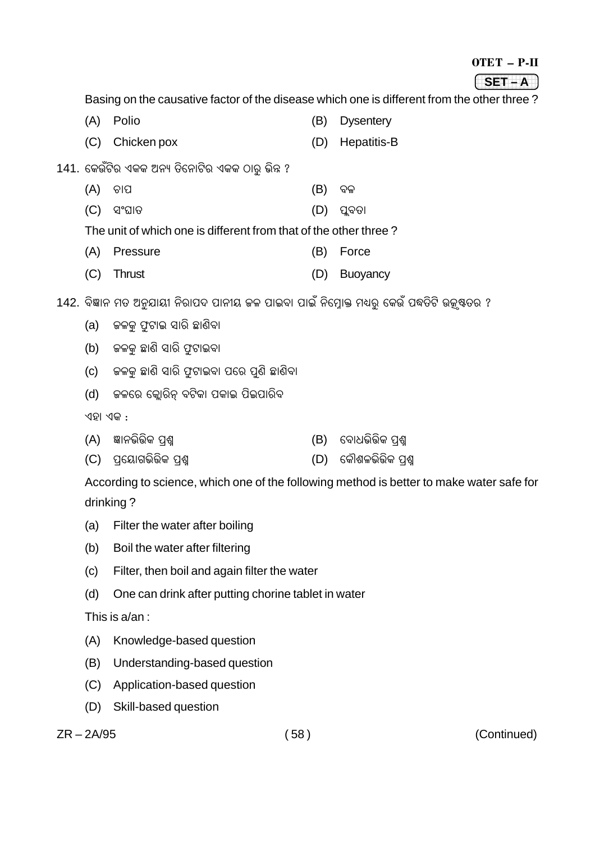### OTET – P-II

#### 1234567890123456789 1234567890123456789 1234567890123456789 **SET – A**

Basing on the causative factor of the disease which one is different from the other three?

- (A) Polio (B) Dysentery
- (C) Chicken pox (D) Hepatitis-B
- 141. କେଉଁଟିର ଏକକ ଅନ୍ୟ ତିନୋଟିର ଏକକ ଠାରୁ ଭିନ୍ନ ?
	- (A) `ÿæ¨ (B) ¯ÿÁÿ
	- (C) ÓóWæ†ÿ (D) ¨â¯ÿ†ÿæ

The unit of which one is different from that of the other three ?

- (A) Pressure (B) Force
- (C) Thrust (D) Buoyancy
- 142. ବିଜ୍ଞାନ ମତ ଅନୁଯାୟୀ ନିରାପଦ ପାନୀୟ ଜଳ ପାଇବା ପାଇଁ ନିମ୍ନୋକ୍ତ ମଧ୍ୟରୁ କେଉଁ ପଦ୍ଧତିଟି ଉକୃଷ୍ଣତର ?
	- (a) ଜଳକୁ ଫୁଟାଇ ସାରି ଛାଣିବା
	- (b) ଜଳକ ଛାଣି ସାରି ଫଟାଇବା
	- (c) କଳକ ଛାଣି ସାରି ଫଟାଇବା ପରେ ପଣି ଛାଣିବା
	- (d) କଳରେ କ୍ଲୋରିନ୍ ବଟିକା ପକାଇ ପିଇପାରିବ

ଏହା ଏକ $\cdot$ 

- (A) jæœÿµÿçˆÿçLÿ ¨÷ɧ (B) {¯ÿ晵ÿçˆÿçLÿ ¨÷ɧ
- (C) ପ୍ୟୋଗଭିଭିକ ପଶ୍ଚ (D) କୌଶଳଭିଭିକ ପଶ୍ଚ

According to science, which one of the following method is better to make water safe for drinking ?

- (a) Filter the water after boiling
- (b) Boil the water after filtering
- (c) Filter, then boil and again filter the water
- (d) One can drink after putting chorine tablet in water

This is a/an :

- (A) Knowledge-based question
- (B) Understanding-based question
- (C) Application-based question
- (D) Skill-based question

ZR – 2A/95 ( 58 ) (Continued)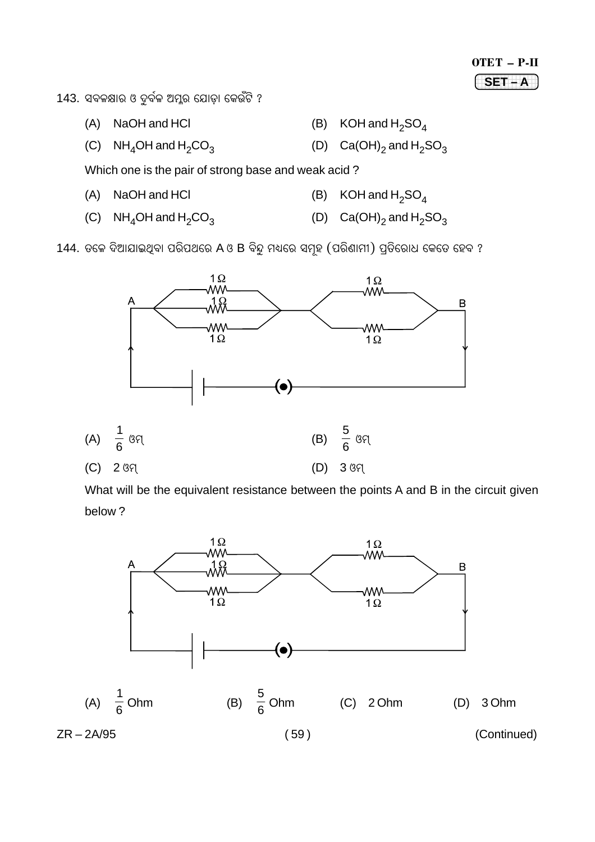# OTET - P-II  $SET - A$

143. ସବଳକ୍ଷାର ଓ ଦୁର୍ବଳ ଅମ୍ଳର ଯୋଡ଼ା କେଉଁଟି ?

- (A) NaOH and HCI
- (C)  $NH_4OH$  and  $H_2CO_3$

(B) KOH and  $H_2SO_4$ 

(D)  $Ca(OH)_2$  and  $H_2SO_3$ 

Which one is the pair of strong base and weak acid?

- $(A)$ NaOH and HCI
- (D)  $Ca(OH)_2$  and  $H_2SO_3$ (C)  $NH_4OH$  and  $H_2CO_3$

144. ତଳେ ଦିଆଯାଇଥିବା ପରିପଥରେ A ଓ B ବିନ୍ଦୁ ମଧ୍ୟରେ ସମୂହ (ପରିଣାମୀ) ପ୍ରତିରୋଧ କେତେ ହେବ ?



What will be the equivalent resistance between the points A and B in the circuit given below?



- 
- (B) KOH and  $H_2SO_4$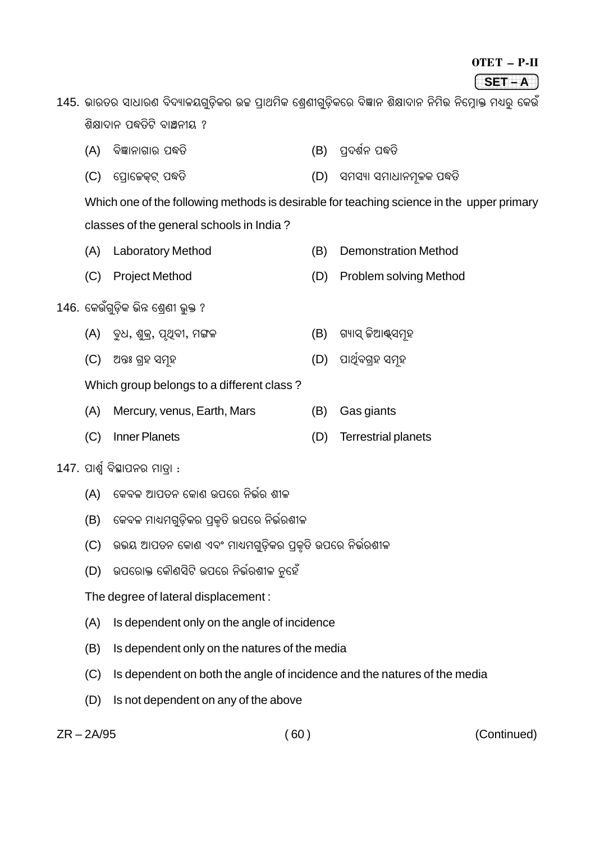| OTET | P-IT |
|------|------|
|      |      |

1234567890123456789 1234567890123456789 1234567890123456789 **SET – A**

145. ଭାରତର ସାଧାରଣ ବିଦ୍ୟାଳୟଗୁଡ଼ିକର ଉଚ୍ଚ ପ୍ରାଥମିକ ଶ୍ରେଣୀଗୁଡ଼ିକରେ ବିଜ୍ଞାନ ଶିକ୍ଷାଦାନ ନିମିଭ ନିମ୍ନୋକ୍ତ ମଧ୍ୟରୁ କେଉଁ ଶିକ୍ଷାଦାନ ପଦ୍ଧତିଟି ବାଞ୍ଚନୀୟ ?

- (A) ¯ÿçjæœÿæSæÀÿ ¨•†ÿç (B) ¨÷'ÿÉöœÿ ¨•†ÿç
- (C) ପ୍ରୋଜେକ୍ଟ୍ ପଦ୍ଧତି (D) ସମସ୍ୟା ସମାଧାନମୂଳକ ପଦ୍ଧତି

Which one of the following methods is desirable for teaching science in the upper primary classes of the general schools in India ?

- (A) Laboratory Method (B) Demonstration Method
- (C) Project Method (D) Problem solving Method

## 146. କେଉଁଗ୍ଡିକ ଭିନ୍ନ ଶେଣୀ ଭ୍କ ?

- (A) ବଧ, ଶୁକ୍, ପୃଥିବୀ, ମଙ୍ଗଳ (B) ଗ୍ୟାସ୍ କିଆଷ୍ସମ୍ରହ
- (C) A;ÿ… S÷Üÿ ÓþíÜÿ (D) ¨æ\$#ö¯ÿS÷Üÿ ÓþíÜÿ

Which group belongs to a different class ?

- (A) Mercury, venus, Earth, Mars (B) Gas giants
- (C) Inner Planets (D) Terrestrial planets
- $147.$  ପାର୍ଶ୍ୱ ବିସ୍ଥାପନର ମାତା :
	- (A) କେବଳ ଆପତନ କୋଣ ଉପରେ ନିର୍ଭର ଶୀଳ
	- (B) କେବଳ ମାଧ୍ୟମଗୁଡ଼ିକର ପ୍ରକୃତି ଉପରେ ନିର୍ଭରଶୀଳ
	- (C) ଉଭୟ ଆପତନ କୋଣ ଏବଂ ମାଧ୍ୟମଗୁଡ଼ିକର ପ୍ରକୃତି ଉପରେ ନିର୍ଭରଶୀଳ
	- (D) ଉପରୋକ୍ତ କୌଣସିଟି ଉପରେ ନିର୍ଭରଶୀଳ ନୁହେଁ

The degree of lateral displacement :

- (A) Is dependent only on the angle of incidence
- (B) Is dependent only on the natures of the media
- (C) Is dependent on both the angle of incidence and the natures of the media
- (D) Is not dependent on any of the above

ZR – 2A/95 ( 60 ) (Continued)